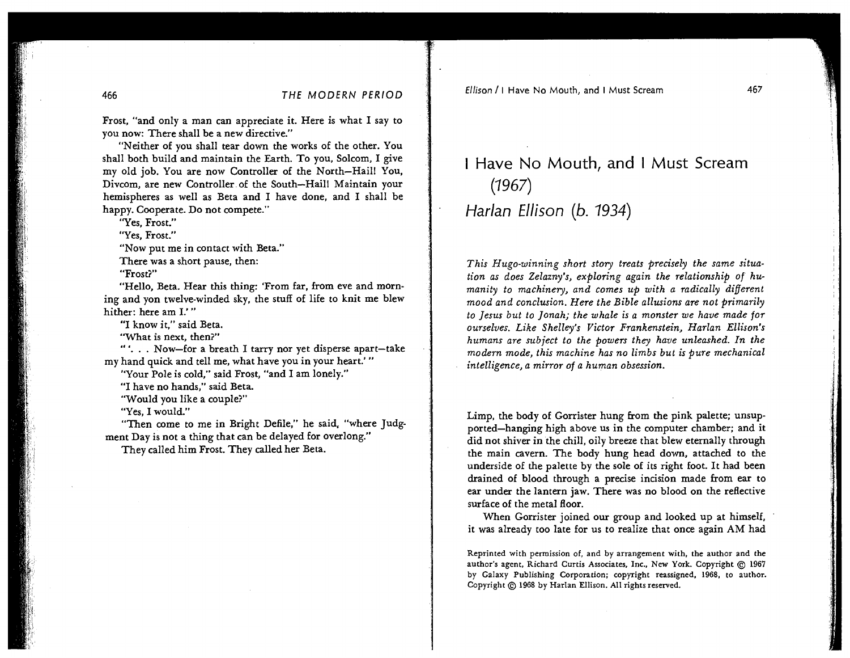Frost, "and only a man can appreciate it. Here is what I say to you now: There shall be a new directive."

"Neither of you shall tear down the works of the other. You shall both build and maintain the Earth. To you, Solcom, I give my old job. You are now Controller of the North—Hail! You, Divcom, are new Controller of the South—Haill Maintain your hemispheres as well as Beta and I have done, and I shall be happy. Cooperate. Do not compete."

"Yes, Frost."

"Yes, Frost."

"Now put me in contact with Beta."

There was a short pause, then:

"Frost?"

"Hello, Beta. Hear this thing: 'From far, from eve and morning and yon twelve-winded sky, the stuff of life to knit me blew hither: here am I.' "

"I know it," said Beta.

"What is next, then?"

. . Now—for a breath I tarry nor yet disperse apart—take my hand quick and tell me, what have you in your heart.' "

"Your Pole is cold," said Frost, "and I am lonely."

"I have no hands," said Beta.

"Would you like a couple?"

"Yes, I would."

"Then come to me in Bright Defile," he said, "where Judgment Day is not a thing that can be delayed for overlong."

They called him Frost. They called her Beta.

## I Have No Mouth, and I Must Scream (1967) Harlan Ellison (b. 1934)

*This Hugo-winning short story treats precisely the same situation as does Zelazny's, exploring again the relationship of humanity to machinery, and comes up with a radically different mood and conclusion. Here the Bible allusions are not primarily to Jesus but to Jonah; the whale is a monster we have made for ourselves. Like Shelley's Victor Frankenstein, Harlan Ellison's humans are subject to the powers they have unleashed. In the modern mode, this machine has no limbs but is pure mechanical intelligence, a mirror of a human obsession.* 

Limp, the body of Gorrister hung from the pink palette; unsupported—hanging high above us in the computer chamber; and it did not shiver in the chill, oily breeze that blew eternally through the main cavern. The body hung head down, attached to the underside of the palette by the sole of its right foot. It had been drained of blood through a precise incision made from ear to ear under the lantern jaw. There was no blood on the reflective surface of the metal floor.

When Gorrister joined our group and looked up at himself, it was already too late for us to realize that once again AM had

Reprinted with permission of, and by arrangement with, the author and the author's agent, Richard Curtis Associates, Inc., New York. Copyright © 1967 by Galaxy Publishing Corporation; copyright reassigned, 1968, to author. Copyright © 1968 by Harlan Ellison. All rights reserved.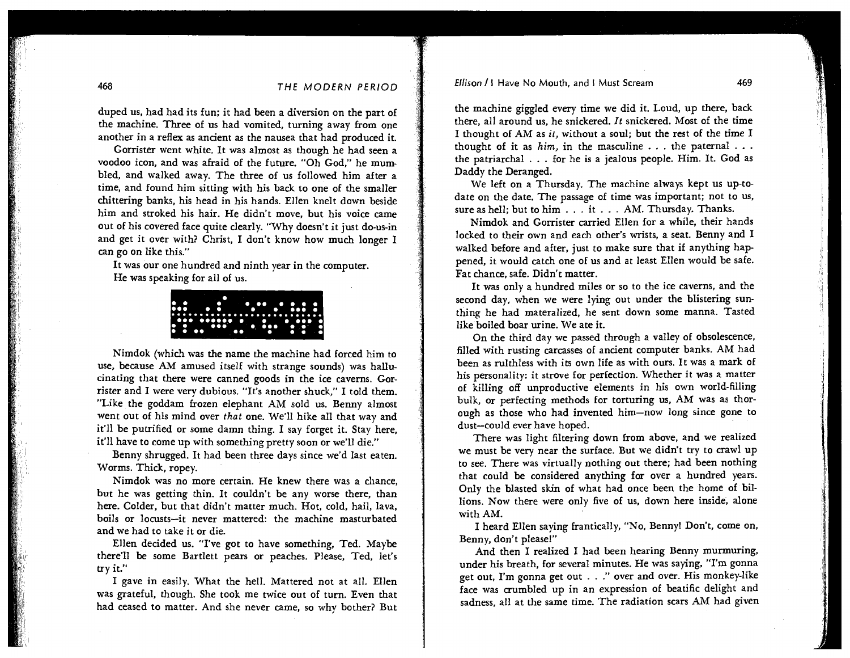## *Ellison /* I Have No Mouth, and I Must Scream 469 468 THE MODERN PERIOD

duped us, had had its fun; it had been a diversion on the part of the machine. Three of us had vomited, turning away from one another in a reflex as ancient as the nausea that had produced it.

Gorrister went white. It was almost as though he had seen a voodoo icon, and was afraid of the future. "Oh God," he mumbled, and walked away. The three of us followed him after a time, and found him sitting with his back to one of the smaller chittering banks, his head in his hands. Ellen knelt down beside him and stroked his hair. He didn't move, but his voice came out of his covered face quite clearly. "Why doesn't it just do-us-in and get it over with? Christ, I don't know how much longer I can go on like this."

It was our one hundred and ninth year in the computer. He was speaking for all of us.



Nimdok (which was the name the machine had forced him to use, because AM amused itself with strange sounds) was hallucinating that there were canned goods in the ice caverns. Gorrister and I were very dubious. "It's another shuck," I told them. "Like the goddam frozen elephant AM sold us. Benny almost went out of his mind over that one. We'll hike all that way and it'll be putrified or some damn thing. I say forget it. Stay here, it'll have to come up with something pretty soon or we'll die."

Benny shrugged. It had been three days since we'd last eaten. Worms. Thick, ropey.

Nimdok was no more certain. He knew there was a chance, but he was getting thin. It couldn't be any worse there, than here. Colder, but that didn't matter much. Hot, cold, hail, lava, boils or locusts—it never mattered: the machine masturbated and we had to take it or die.

Ellen decided us. "I've got to have something, Ted. Maybe there'll be some Bartlett pears or peaches. Please, Ted, let's try it."

I gave in easily. What the hell. Mattered not at all. Ellen was grateful, though. She took me twice out of turn. Even that had ceased to matter. And she never came, so why bother? But

the machine giggled every time we did it. Loud, up there, back there, all around us, he snickered. *It* snickered. Most of the time I thought of AM as *it,* without a soul; but the rest of the time I thought of it as  $him$ , in the masculine  $\ldots$  the paternal  $\ldots$ the patriarchal . . . for he is a jealous people. Him. It. God as Daddy the Deranged.

We left on a Thursday. The machine always kept us up-todate on the date. The passage of time was important; not to us, sure as hell; but to him . . . it . . . AM. Thursday. Thanks.

Nimdok and Gorrister carried Ellen for a while, their hands locked to their own and each other's wrists, a seat. Benny and I walked before and after, just to make sure that if anything happened, it would catch one of us and at least Ellen would be safe. Fat chance, safe. Didn't matter.

It was only a hundred miles or so to the ice caverns, and the second day, when we were lying out under the blistering sunthing he had materalized, he sent down some manna. Tasted like boiled boar urine. We ate it.

On the third day we passed through a valley of obsolescence, filled with rusting carcasses of ancient computer banks. AM had been as rulthless with its own life as with ours. It was a mark of his personality: it strove for perfection. Whether it was a matter of killing off unproductive elements in his own world-filling bulk, or perfecting methods for torturing us, AM was as thorough as those who had invented him—now long since gone to dust—could ever have hoped.

There was light filtering down from above, and we realized we must be very near the surface. But we didn't try to crawl up to see. There was virtually nothing out there; had been nothing that could be considered anything for over a hundred years. Only the blasted skin of what had once been the home of billions. Now there were only five of us, down here inside, alone with AM.

I heard Ellen saying frantically, "No, Benny! Don't, come on, Benny, don't please!"

And then I realized I had been hearing Benny murmuring, under his breath, for several minutes. He was saying, "I'm gonna get out, I'm gonna get out . . ." over and over. His monkey-like face was crumbled up in an expression of beatific delight and sadness, all at the same time. The radiation scars AM had given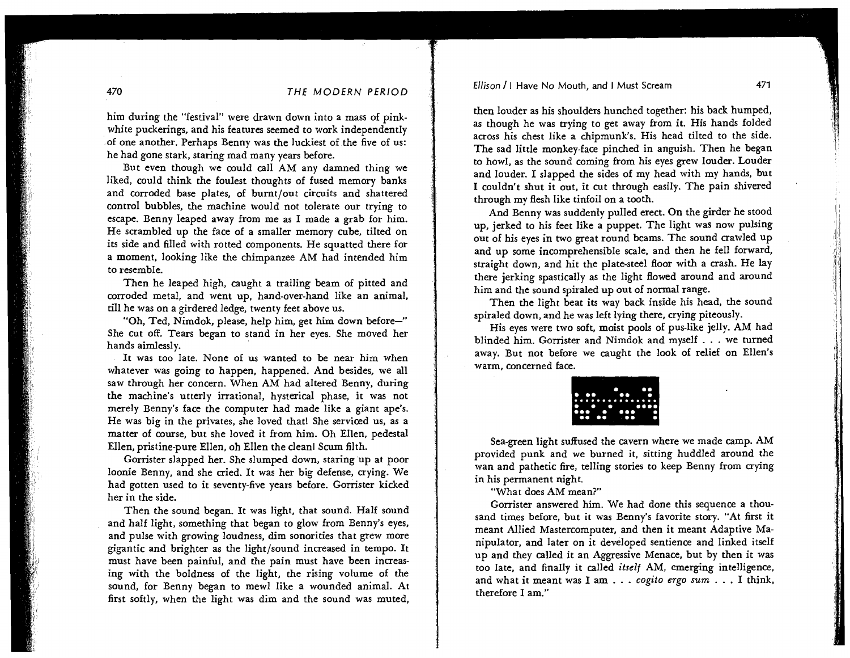*Ellison/* I Have No Mouth, and I Must Scream 471 470 *THE MODERN PERIOD* 

him during the "festival" were drawn down into a mass of pinkwhite puckerings, and his features seemed to work independently of one another. Perhaps Benny was the luckiest of the five of us: he had gone stark, staring mad many years before.

But even though we could call AM any damned thing we liked, could think the foulest thoughts of fused memory banks and corroded base plates, of burnt/out circuits and shattered control bubbles, the machine would not tolerate our trying to escape. Benny leaped away from me as I made a grab for him. He scrambled up the face of a smaller memory cube, tilted on its side and filled with rotted components. He squatted there for a moment, looking like the chimpanzee AM had intended him to resemble.

Then he leaped high, caught a trailing beam of pitted and corroded metal, and went up, hand-over-hand like an animal, till he was on a girdered ledge, twenty feet above us.

"Oh, Ted, Nimdok, please, help him, get him down before—" She cut off. Tears began to stand in her eyes. She moved her hands aimlessly.

It was too late. None of us wanted to be near him when whatever was going to happen, happened. And besides, we all saw through her concern. When AM had altered Benny, during the machine's utterly irrational, hysterical phase, it was not merely Benny's face the computer had made like a giant ape's. He was big in the privates, she loved that! She serviced us, as a matter of course, but she loved it from him. Oh Ellen, pedestal Ellen, pristine-pure Ellen, oh Ellen the clean! Scum filth.

Gorrister slapped her. She slumped down, staring up at poor loonie Benny, and she cried. It was her big defense, crying. We had gotten used to it seventy-five years before. Gorrister kicked her in the *side.* 

Then the sound began. It was light, that sound. Half sound and half light, something that began to glow from Benny's eyes, and pulse with growing loudness, dim sonorities that grew more gigantic and brighter as the light/sound increased in tempo. It must have been painful, and the pain must have been increasing with the boldness of the light, the rising volume of the sound, for Benny began to mewl like a wounded animal. At first softly, when the light was dim and the sound was muted,

then louder as his shoulders hunched together: his back humped, as though he was trying to get away from it. His hands folded across his chest like a chipmunk's. His head tilted to the side. The sad little monkey-face pinched in anguish. Then he began to howl, as the sound coming from his eyes grew louder. Louder and louder. I slapped the sides of my head with my hands, but I couldn't shut it out, it cut through easily. The pain shivered through my flesh like tinfoil on a tooth.

And Benny was suddenly pulled erect. On the girder he stood up, jerked to his feet like a puppet. The light was now pulsing out of his eyes in two great round beams. The sound crawled up and up some incomprehensible scale, and then he fell forward, straight down, and hit the plate-steel floor with a crash. He lay there jerking spastically as the light flowed around and around him and the sound spiraled up out of normal range.

Then the light beat its way back inside his head, the sound spiraled down, and he was left lying there, crying piteously.

His eyes were two soft, moist pools of pus-like jelly. AM had blinded him. Gorrister and Nimdok and myself . . . we turned away. But not before we caught the look of relief on Ellen's warm, concerned face.



Sea-green light suffused the cavern where we made camp. AM provided punk and we burned it, sitting huddled around the wan and pathetic fire, telling stories to keep Benny from crying in his permanent night.

"What does AM mean?"

Gorrister answered him. We had done this sequence a thousand times before, but it was Benny's favorite story. "At first it meant Allied Mastercomputer, and then it meant Adaptive Manipulator, and later on it developed sentience and linked itself up and they called it an Aggressive Menace, but by then it was too late, and finally it called *itself* AM, emerging intelligence, and what it meant was I am . . . *cogito ergo sum . . .* I think, therefore I am."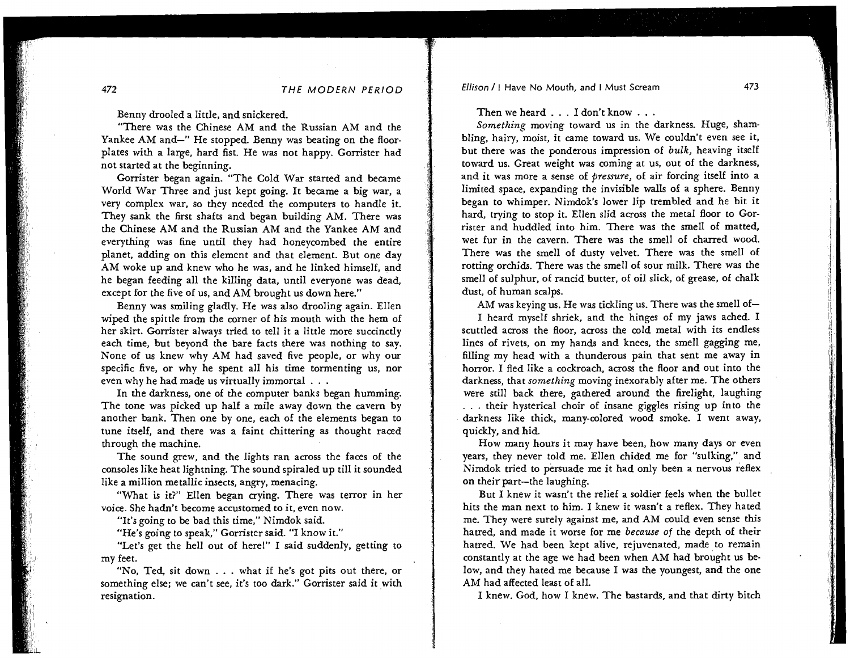Benny drooled a little, and snickered.

"There was the Chinese AM and the Russian AM and the Yankee AM and—" He stopped. Benny was beating on the floorplates with a large, hard fist. He was not happy. Gorrister had not started at the beginning.

Gorrister began again. "The Cold War started and became World War Three and just kept going. It became a big war, a very complex war, so they needed the computers to handle it. They sank the first shafts and began building AM. There was the Chinese AM and the Russian AM and the Yankee AM and everything was fine until they had honeycombed the entire planet, adding on this element and that element. But one day AM woke up and knew who he was, and he linked himself, and he began feeding all the killing data, until everyone was dead, except for the five of us, and AM brought us down here."

Benny was smiling gladly. He was also drooling again. Ellen wiped the spittle from the corner of his mouth with the hem of her skirt. Gorrister always tried to tell it a little more succinctly each time, but beyond the bare *facts* there was nothing to say. None of us knew why AM had saved five people, or why our specific five, or why he spent all his time tormenting us, nor even why he had made us virtually immortal . . .

In the darkness, one of the computer banks began humming. The tone was picked up half a mile away down the cavern by another bank. Then one by one, each of the elements began to tune itself, and there was a faint chittering as thought raced through the machine.

The sound grew, and the lights ran across the faces of the consoles like heat lightning. The sound spiraled up till it sounded like a million metallic insects, angry, menacing.

"What is it?" Ellen began crying. There was terror in her voice. She hadn't become accustomed to it, even now.

"It's going to be bad this time," Nimdok said.

"He's going to speak," Gorrister said. "I know it."

"Let's get the hell out of herel" I said suddenly, getting to my feet.

"No, Ted, sit down . . . what if he's got pits out there, or something else; we can't *see, it's* too dark." Gorrister said it with resignation.

Then we heard . . . I don't know . . .

*Something* moving toward us in the darkness. Huge, shambling, hairy, moist, it came toward us. We couldn't even see it, but there was the ponderous impression of *bulk,* heaving itself toward us. Great weight was coming at us, out of the darkness, and it was more a sense of *pressure,* of air forcing itself into a limited space, expanding the invisible walls of a sphere. Benny began to whimper. Nimdok's lower lip trembled and he bit it hard, trying to stop it. Ellen slid across the metal floor to Gorrister and huddled into him. There was the smell of matted, wet fur in the cavern. There was the smell of charred wood. There was the smell of dusty velvet. There was the smell of rotting orchids. There was the smell of sour milk. There was the smell of sulphur, of rancid butter, of oil slick, of grease, of chalk dust, of human scalps.

AM was keying us. He was tickling us. There was the smell of-

I heard myself shriek, and the hinges of my jaws ached. I scuttled across the floor, across the cold metal with its endless lines of rivets, on my hands and knees, the smell gagging me, filling my head with a thunderous pain that sent me away in horror. I fled like a cockroach, across the floor and out into the darkness, that *something* moving inexorably after me. The others were still back there, gathered around the firelight, laughing . . . their hysterical choir of insane giggles rising up into the darkness like thick, many-colored wood smoke. I went away, quickly, and hid.

How many hours it may have been, how many days or even years, they never told me. Ellen chided me for "sulking," and Nimdok tried to persuade me it had only been a nervous reflex on their part—the laughing.

But I knew it wasn't the relief a soldier feels when the bullet hits the man next to him. I knew it wasn't a reflex. They hated me. They were surely against me, and AM could even sense this hatred, and made it worse for me *because of* the depth of their hatred. We had been kept alive, rejuvenated, made to remain constantly at the age we had been when AM had brought us below, and they hated me because I was the youngest, and the one AM had affected least of all.

I knew. God, how I knew. The bastards, and that dirty bitch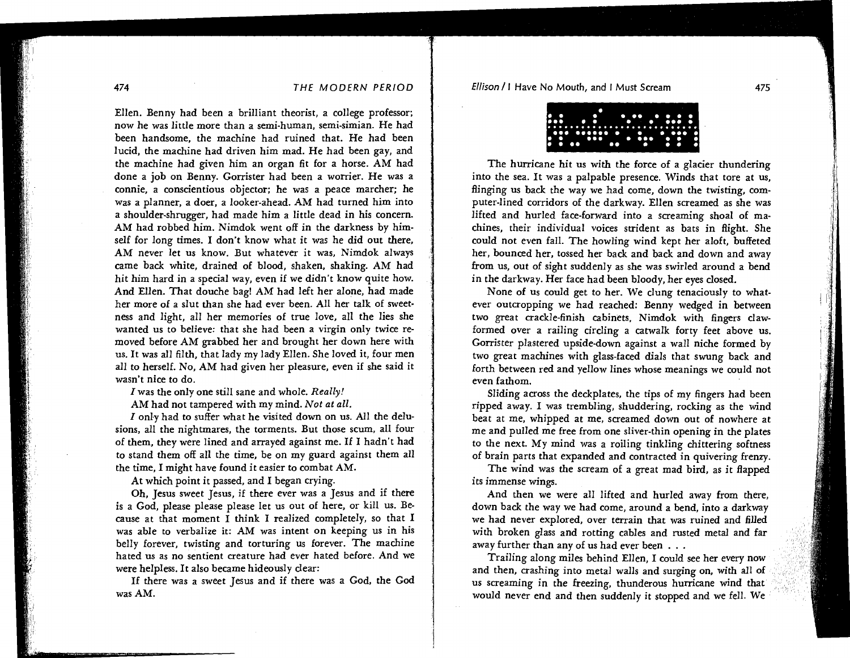Ellen. Benny had been a brilliant theorist, a college professor; now he was little more than a semi-human, semi-simian. He had been handsome, the machine had ruined that. He had been lucid, the machine had driven him mad. He had been gay, and the machine had given him an organ fit for a horse. AM had done a job on Benny. Gorrister had been a worrier. He was a connie, a conscientious objector; he was a peace marcher; he was a planner, a doer, a looker-ahead. AM had turned him into a shoulder-shrugger, had made him a little dead in his concern. AM had robbed him. Nimdok went off in the darkness by himself for long times. I don't know what it was he did out there, AM never let us know. But whatever it was, Nimdok always came back white, drained of blood, shaken, shaking. AM had hit him hard in a special way, even if we didn't know quite how. And Ellen. That douche bag! AM had left her alone, had made her more of a slut than she had ever been. All her talk of sweetness and light, all her memories of true love, all the lies she wanted us to *believe: that she* had been a virgin only twice removed before AM grabbed her and brought her down here with us. It was all filth, that lady my lady Ellen. She loved it, four men all to herself. No, AM had given her pleasure, even if she said it wasn't nice to do.

/ was the only one still sane and whole. *Really!* 

AM had not tampered with my mind. *Not at all.* 

*I* only had to suffer what he visited down on us. All the delusions, all the nightmares, the torments. But those scum, all four of them, they were lined and arrayed against me. If I hadn't had to stand them off all the time, be on my guard against them all the time, I might have found it easier to combat AM.

At which point it passed, and I began crying.

Oh, Jesus sweet Jesus, if there ever was a Jesus and if there is a God, please please please let us out of here, or kill us. Because at that moment I think I realized completely, so that I was able to verbalize it: AM was intent on keeping us in his belly forever, twisting and torturing us forever. The machine hated us as no sentient creature had ever hated before. And we were helpless. It also became hideously clear:

If there was a sweet Jesus and if there was a God, the God was AM.

The hurricane hit us with the force of a glacier thundering into the sea. It was a palpable presence. Winds that tore at us, flinging us back the way we had come, down the twisting, computer-lined corridors of the darkway. Ellen screamed as she was lifted and hurled face-forward into a screaming shoal of machines, their individual voices strident as bats in flight. She could not even fall. The howling wind kept her aloft, buffeted her, bounced her, tossed her back and back and down and away from us, out of sight suddenly as she was swirled around a bend in the darkway. Her face had been bloody, her eyes closed.

None of *us* could get to her. We clung tenaciously to whatever outcropping we had reached: Benny wedged in between two great crackle-finish cabinets, Nimdok with fingers clawformed over a railing circling a catwalk forty feet above us. Gorrister plastered upside-down against a wall niche formed by two great machines with glass-faced dials that swung back and forth between red and yellow lines whose meanings we could not even fathom.

Sliding across the deckplates, the tips of my fingers had been ripped away. I was trembling, shuddering, rocking as the wind beat at me, whipped at me, screamed down out of nowhere at me and pulled me free from one sliver-thin opening in the plates to the next. My mind was a roiling tinkling chittering softness of brain parts that expanded and contracted in quivering frenzy.

The wind was the scream of a great mad bird, as it flapped its immense wings.

And then we were all lifted and hurled away from there, down back the way we had come, around a bend, into a darkway we had never explored, over terrain that was ruined and filled with broken glass and rotting cables and rusted metal and far away further than any of us had ever been . . .

Trailing along miles behind Ellen, I could see her every now and then, crashing into metal walls and surging on, with all of us screaming in the freezing, thunderous hurricane wind that would never end and then suddenly it stopped and we fell. We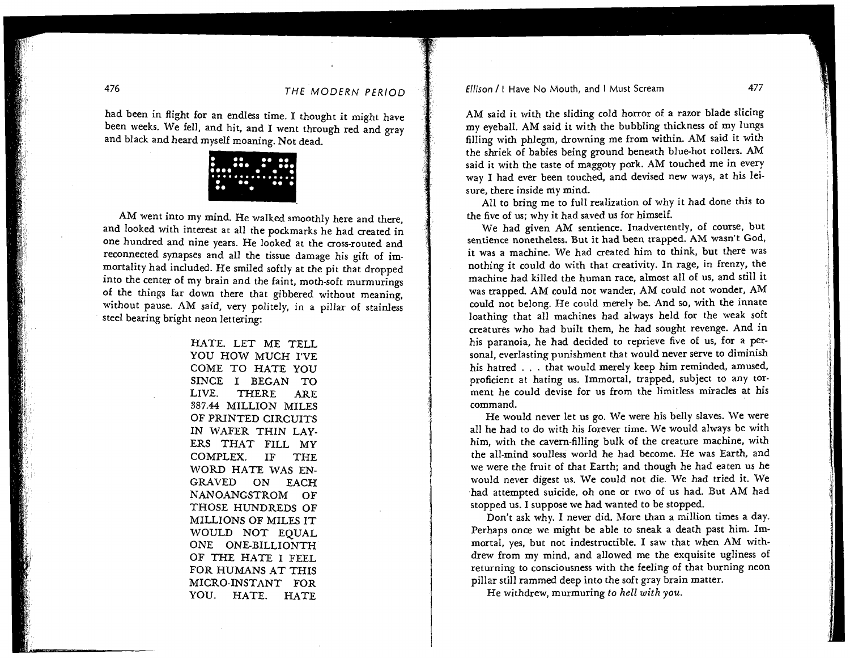had been in flight for an endless time. I thought it might have been weeks. We fell, and hit, and I went through red and gray and black and heard myself moaning. Not dead.

| <br>. <del>.</del> | <br>.<br>n |
|--------------------|------------|
|                    |            |

AM went into my mind. He walked smoothly here and there, and looked with interest at all the pockmarks he had created in one hundred and nine years. He looked at the cross-routed and reconnected synapses and all the tissue damage his gift of immortality had included. He smiled softly at the pit that dropped into the center of my brain and the faint, moth-soft murmurings of the things far down there that gibbered without meaning, without pause. AM said, very politely, in a pillar of stainless steel bearing bright neon lettering:

> HATE. LET ME TELL YOU HOW MUCH I'VE COME TO HATE YOU SINCE I BEGAN TO LIVE. THERE ARE 387.44 MILLION MILES OF PRINTED CIRCUITS IN WAFER THIN LAY-ERS THAT FILL MY COMPLEX. IF THE WORD HATE WAS EN-GRAVED ON EACH NANOANGSTROM OF THOSE HUNDREDS OF MILLIONS OF MILES IT WOULD NOT EQUAL ONE ONE-BILLIONTH OF THE HATE I FEEL FOR HUMANS AT THIS MICRO-INSTANT FOR YOU. HATE. HATE

AM said it with the sliding cold horror of a razor blade slicing my eyeball. AM said it with the bubbling thickness of my lungs filling with phlegm, drowning me from within. AM said it with the shriek of babies being ground beneath blue-hot rollers. AM said it with the taste of maggoty pork. AM touched me in every way I had ever been touched, and devised new ways, at his leisure, there inside my mind.

All to bring me to full realization of why it had done this to the five of us; why it had saved us for himself.

We had given AM sentience. Inadvertently, of course, but sentience nonetheless. But it had been trapped. AM wasn't God, it was a machine. We had created him to think, but there was nothing it could do with that creativity. In rage, in frenzy, the machine had killed the human race, almost all of us, and still it was trapped. AM could not wander, AM could not wonder, AM could not belong. He could merely be. And so, with the innate loathing that all machines had always held for the weak soft creatures who had built them, he had sought revenge. And in his paranoia, he had decided to reprieve five of us, for a personal, everlasting punishment that would never serve to diminish his hatred . . . that would merely keep him reminded, amused, proficient at hating us. Immortal, trapped, subject to any torment he could devise for us from the limitless miracles at his command.

He would never let us go. We were his belly slaves. We were all he had to do with his forever time. We would always be with him, with the cavern-filling bulk of the creature machine, with the all-mind soulless world he had become. He was Earth, and we were the fruit of that Earth; and though he had eaten us he would never digest us. We could not die. We had tried it. We had attempted suicide, oh one or two of us had. But AM had stopped us. I suppose we had wanted to be stopped.

Don't ask why. I never did. More than a million times a day. Perhaps once we might be able to sneak a death past him. Immortal, yes, but not indestructible. I saw that when AM withdrew from my mind, and allowed me the exquisite ugliness of returning to consciousness with the feeling of that burning neon pillar still rammed deep into the soft gray brain matter.

He withdrew, murmuring *to hell with you.*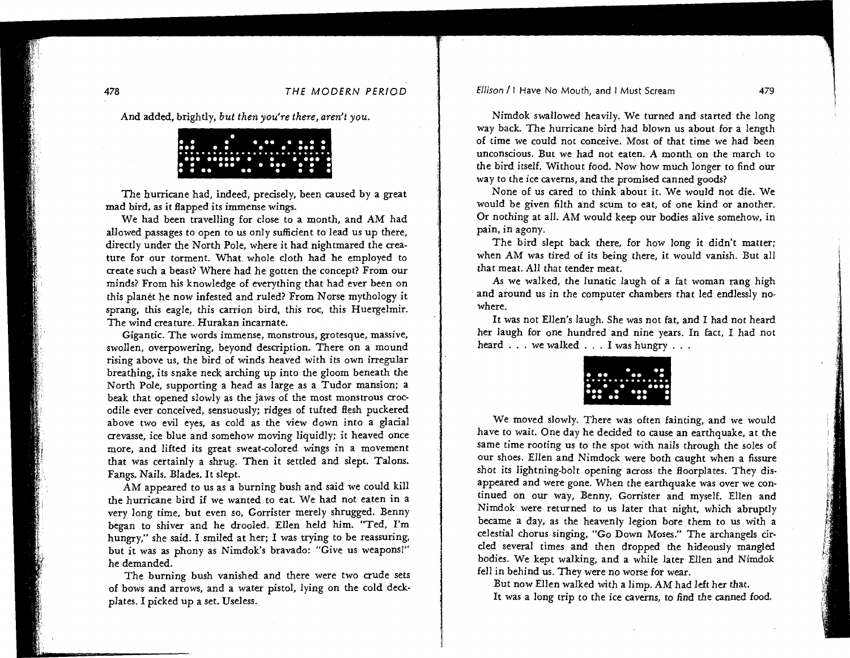And added, brightly, *but then you're there, aren't you.* 



The hurricane had, indeed, precisely, been caused by a great mad bird, as it flapped its immense wings.

We had been travelling for close to a month, and AM had allowed *passages* to open to us only sufficient to lead us up there, directly under the North Pole, where it had nightmared the creature for our torment. What whole cloth had he employed to create such a beast? Where had he gotten the concept? From our minds? From his knowledge of everything that had ever been on this planet he now infested and ruled? From Norse mythology it sprang, this eagle, this carrion bird, this roc, this Huergelmir. The wind creature. Hurakan incarnate.

Gigantic. The words immense, monstrous, grotesque, massive, swollen, overpowering, beyond description. There on a mound rising above us, the bird of winds heaved with its own irregular breathing, its snake neck arching up into the gloom beneath the North Pole, supporting a head as large as a Tudor mansion; a beak that opened slowly as the jaws of the most monstrous crocodile ever conceived, sensuously; ridges of tufted flesh puckered above two evil eyes, as cold as the view down into a glacial crevasse, ice blue and somehow moving liquidly; it heaved once more, and lifted its great sweat-colored wings in a movement that was certainly a shrug. Then it settled and slept. Talons. Fangs. Nails. Blades. It slept.

AM appeared to us as a burning bush and said we could kill the hurricane bird if we wanted to eat. We had not eaten in a very *long* time, but even so, Gorrister merely shrugged. Benny began to shiver and he drooled. Ellen held him. "Ted, I'm hungry," she said. I smiled at her; I was trying to be reassuring, but it was as phony as Nimdok's bravado: "Give us weapons!" he demanded.

The burning bush vanished and there were two crude sets of bows and arrows, and a water pistol, lying on the cold deckplates. I picked up a set. Useless.

Nimdok swallowed heavily. We turned and started the long way back. The hurricane bird had blown us about for a length of time we could not conceive. Most of that time we had been unconscious. But we had not eaten. A month on the march to the bird itself. Without food. Now how much longer to find our way to the ice caverns, and the promised canned goods?

None of us cared to think about it. We would not die. We would be given filth and scum to eat, of one kind or another. Or nothing at all. AM would keep our bodies alive somehow, in pain, in agony.

The bird slept back there, for how long it didn't matter; when AM was tired of its being there, it would vanish. But all that meat. All that tender meat.

As we walked, the lunatic laugh of a fat woman rang high and around us in the computer chambers that led endlessly nowhere.

It was not Ellen's laugh. She was not fat, and I had not heard her laugh for one hundred and nine years. In fact, I had not heard . . . we walked . . . I was hungry . . .



We moved slowly. There was often fainting, and we would have to wait. One day he decided to cause an earthquake, at the same time rooting us to the spot with nails through the soles of our shoes. Ellen and Nimdock were both caught when a fissure shot its lightning-bolt opening across the floorplates. They disappeared and were gone. When the earthquake was over we continued on our way, Benny, Gorrister and myself. Ellen and Nirndok were returned to us later that night, which abruptly became a day, as the heavenly legion bore them to us with a celestial chorus singing, "Go Down Moses." The archangels circled several times and then dropped the hideously *mangled*  bodies. We kept walking, and a while later Ellen and Nimdok fell in behind us. They were no worse for wear.

But now Ellen walked with a limp. AM had left her that. It was a long trip to the ice caverns, to find the *canned* food.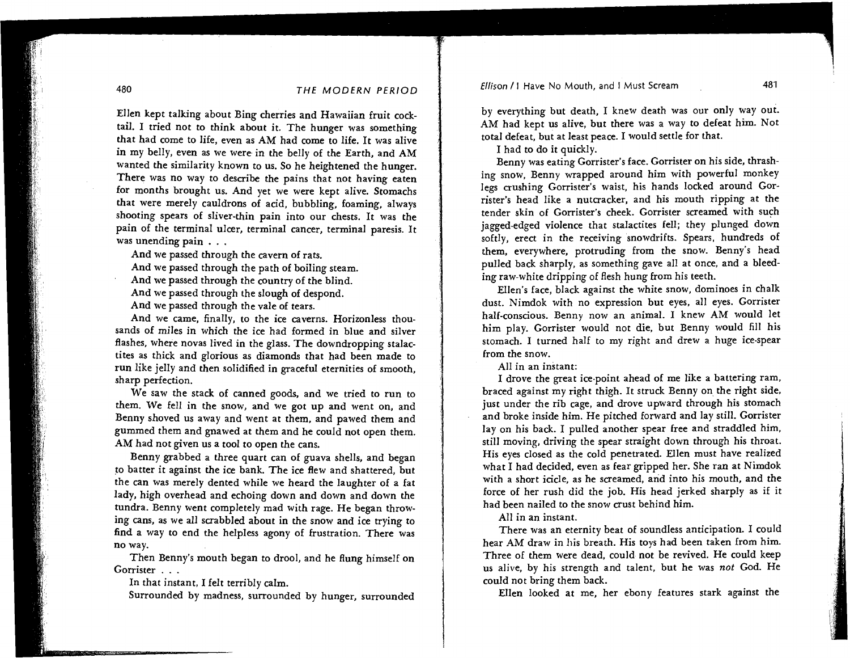Ellen kept talking about Bing cherries and Hawaiian fruit cocktail. I tried not to think about it. The hunger was something that had come to life, even as AM had come to life. It was alive in my belly, even as we were in the belly of the Earth, and AM wanted the similarity known to us. So he heightened the hunger. There was no way to describe the pains that not having eaten for months brought *us.* And yet we were kept alive. Stomachs that were merely cauldrons of acid, bubbling, foaming, always shooting spears of sliver-thin pain into our chests. It was the pain of the terminal ulcer, terminal cancer, terminal paresis. It was unending pain . . .

And we passed through the cavern of rats.

And we passed through the path of boiling steam.

And we passed through the country of the blind.

And we passed through the slough of despond.

And we passed through the vale of tears.

And we came, finally, to the ice caverns. Horizonless thousands of miles in which the ice had formed in blue and silver flashes, where novas lived in the glass. The downdropping stalactites as thick and glorious as diamonds that had been made to run like jelly and then solidified in graceful eternities of smooth, sharp perfection.

We saw the stack of canned goods, and we tried to run to them. We fell in the snow, and we got up and went on, and Benny shoved us away and went at them, and pawed them and gummed them and gnawed at them and he could not open them. AM had not given us a tool to open the cans.

Benny grabbed a three quart can of guava shells, and began to batter it against the ice bank. The ice flew and shattered, but the can was merely dented while we heard the laughter of a fat lady, high overhead and echoing down and down and down the tundra. Benny went completely mad with rage. He began throwing *cans, as we* all scrabbled about in the snow and ice trying to find a way to end the helpless agony of frustration. There was no way.

Then Benny's mouth began to drool, and he flung himself on Gorrister . . .

In that instant, I *felt* terribly calm.

Surrounded by madness, surrounded by hunger, surrounded

by everything but death, I knew death was our only way out. AM had kept *us* alive, but there was a way to defeat him. Not total defeat, but at least peace. I would settle for that.

I had to do it quickly.

Benny was eating Gorrister's face. Gorrister on his side, thrashing snow, Benny wrapped around him with powerful monkey legs crushing Gorrister's waist, his hands locked around Gorrister's head like a nutcracker, and his mouth ripping at the tender skin of Gorrister's cheek. Gorrister screamed with such jagged-edged violence that stalactites fell; they plunged down softly, erect in the receiving snowdrifts. Spears, hundreds of them, everywhere, protruding from the snow. Benny's head pulled back sharply, as something gave all at once, and a bleeding raw-white dripping of flesh hung from his teeth.

Ellen's face, black against the white snow, dominoes in chalk dust. Nimdok with no expression but eyes, all eyes. Gorrister half-conscious. Benny now an animal. I knew AM would let him play. Gorrister would not die, but Benny would fill his stomach. I turned half to my right and drew a huge ice-spear from the snow.

All in an instant:

I drove the great ice-point ahead of me like a battering ram, braced against my right thigh. It struck Benny on the right side, just under the rib cage, and drove upward through his stomach and broke inside him. He pitched forward and lay still. Gorrister lay on his back. I pulled another spear free and straddled him, still moving, driving the spear straight down through his throat. His eyes closed as the cold penetrated. Ellen must have realized what I had decided, even as fear gripped her. She ran at Nimdok with a short icicle, as he screamed, and into his mouth, and the force of her rush did the job. His head jerked sharply as if it had been nailed to the snow crust behind him.

All in an instant.

There was an eternity beat of soundless anticipation. I could hear AM draw in his breath. His toys had been taken from him. Three of them were dead, could not be revived. He could keep us alive, by his strength and talent, but he was *not* God. He could not bring them back.

Ellen looked at me, her ebony features stark against the